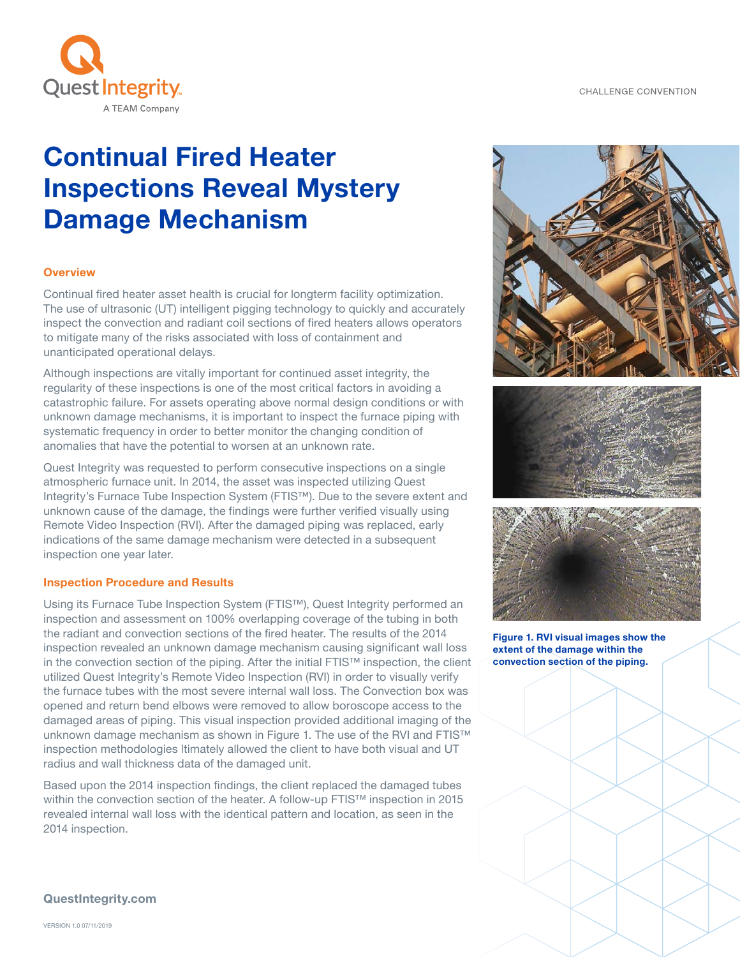CHALLENGE CONVENTION



# **Continual Fired Heater Inspections Reveal Mystery Damage Mechanism**

## **Overview**

Continual fired heater asset health is crucial for longterm facility optimization. The use of ultrasonic (UT) intelligent pigging technology to quickly and accurately inspect the convection and radiant coil sections of fired heaters allows operators to mitigate many of the risks associated with loss of containment and unanticipated operational delays.

Although inspections are vitally important for continued asset integrity, the regularity of these inspections is one of the most critical factors in avoiding a catastrophic failure. For assets operating above normal design conditions or with unknown damage mechanisms, it is important to inspect the furnace piping with systematic frequency in order to better monitor the changing condition of anomalies that have the potential to worsen at an unknown rate.

Quest Integrity was requested to perform consecutive inspections on a single atmospheric furnace unit. In 2014, the asset was inspected utilizing Quest Integrity's Furnace Tube Inspection System (FTIS™). Due to the severe extent and unknown cause of the damage, the findings were further verified visually using Remote Video Inspection (RVI). After the damaged piping was replaced, early indications of the same damage mechanism were detected in a subsequent inspection one year later.

### **Inspection Procedure and Results**

Using its Furnace Tube Inspection System (FTIS™), Quest Integrity performed an inspection and assessment on 100% overlapping coverage of the tubing in both the radiant and convection sections of the fired heater. The results of the 2014 inspection revealed an unknown damage mechanism causing significant wall loss in the convection section of the piping. After the initial FTIS™ inspection, the client utilized Quest Integrity's Remote Video Inspection (RVI) in order to visually verify the furnace tubes with the most severe internal wall loss. The Convection box was opened and return bend elbows were removed to allow boroscope access to the damaged areas of piping. This visual inspection provided additional imaging of the unknown damage mechanism as shown in Figure 1. The use of the RVI and FTIS™ inspection methodologies ltimately allowed the client to have both visual and UT radius and wall thickness data of the damaged unit.

Based upon the 2014 inspection findings, the client replaced the damaged tubes within the convection section of the heater. A follow-up FTIS™ inspection in 2015 revealed internal wall loss with the identical pattern and location, as seen in the 2014 inspection.







**Figure 1. RVI visual images show the extent of the damage within the convection section of the piping.**

**QuestIntegrity.com**

VERSION 1.0 07/11/2019